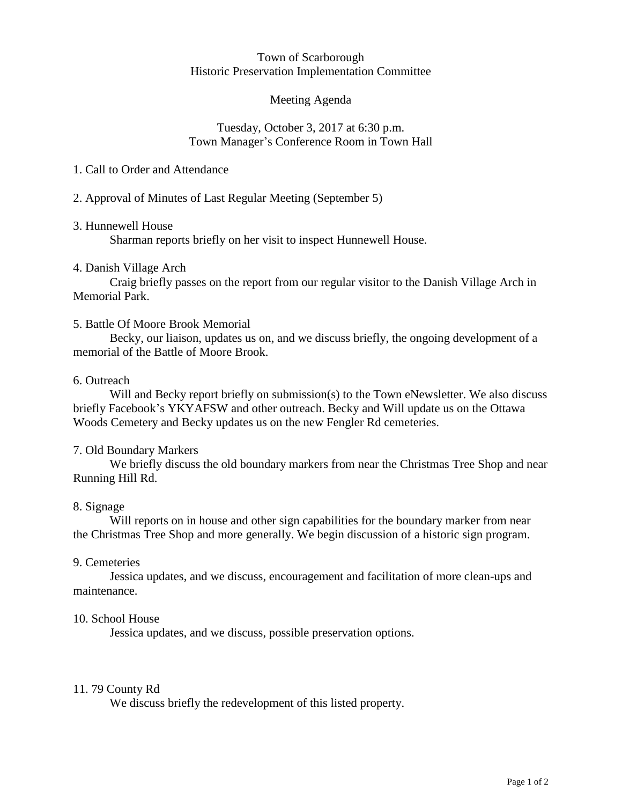#### Town of Scarborough Historic Preservation Implementation Committee

# Meeting Agenda

### Tuesday, October 3, 2017 at 6:30 p.m. Town Manager's Conference Room in Town Hall

# 1. Call to Order and Attendance

# 2. Approval of Minutes of Last Regular Meeting (September 5)

# 3. Hunnewell House

Sharman reports briefly on her visit to inspect Hunnewell House.

# 4. Danish Village Arch

Craig briefly passes on the report from our regular visitor to the Danish Village Arch in Memorial Park.

# 5. Battle Of Moore Brook Memorial

Becky, our liaison, updates us on, and we discuss briefly, the ongoing development of a memorial of the Battle of Moore Brook.

#### 6. Outreach

Will and Becky report briefly on submission(s) to the Town eNewsletter. We also discuss briefly Facebook's YKYAFSW and other outreach. Becky and Will update us on the Ottawa Woods Cemetery and Becky updates us on the new Fengler Rd cemeteries.

#### 7. Old Boundary Markers

We briefly discuss the old boundary markers from near the Christmas Tree Shop and near Running Hill Rd.

#### 8. Signage

Will reports on in house and other sign capabilities for the boundary marker from near the Christmas Tree Shop and more generally. We begin discussion of a historic sign program.

#### 9. Cemeteries

Jessica updates, and we discuss, encouragement and facilitation of more clean-ups and maintenance.

#### 10. School House

Jessica updates, and we discuss, possible preservation options.

#### 11. 79 County Rd

We discuss briefly the redevelopment of this listed property.